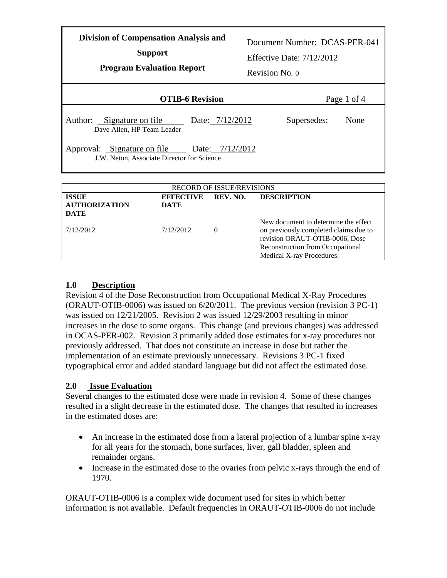| <b>Division of Compensation Analysis and</b><br><b>Support</b><br><b>Program Evaluation Report</b> | Revision No. 0 | Document Number: DCAS-PER-041<br>Effective Date: $7/12/2012$ |             |
|----------------------------------------------------------------------------------------------------|----------------|--------------------------------------------------------------|-------------|
| <b>OTIB-6 Revision</b>                                                                             |                |                                                              | Page 1 of 4 |
| Author: Signature on file<br>Date: 7/12/2012<br>Dave Allen, HP Team Leader                         |                | Supersedes:                                                  | None        |
| Approval: Signature on file<br>Date: 7/12/2012<br>J.W. Neton, Associate Director for Science       |                |                                                              |             |
| DECOPD OF KSUE/DEVISIONS                                                                           |                |                                                              |             |

| <b>RECORD OF ISSUE/REVISIONS</b>                    |                                 |          |                                                                                                                                                                                  |
|-----------------------------------------------------|---------------------------------|----------|----------------------------------------------------------------------------------------------------------------------------------------------------------------------------------|
| <b>ISSUE</b><br><b>AUTHORIZATION</b><br><b>DATE</b> | <b>EFFECTIVE</b><br><b>DATE</b> | REV. NO. | <b>DESCRIPTION</b>                                                                                                                                                               |
| 7/12/2012                                           | 7/12/2012                       | $\Omega$ | New document to determine the effect<br>on previously completed claims due to<br>revision ORAUT-OTIB-0006, Dose<br>Reconstruction from Occupational<br>Medical X-ray Procedures. |

### **1.0 Description**

Revision 4 of the Dose Reconstruction from Occupational Medical X-Ray Procedures (ORAUT-OTIB-0006) was issued on 6/20/2011. The previous version (revision 3 PC-1) was issued on 12/21/2005. Revision 2 was issued 12/29/2003 resulting in minor increases in the dose to some organs. This change (and previous changes) was addressed in OCAS-PER-002. Revision 3 primarily added dose estimates for x-ray procedures not previously addressed. That does not constitute an increase in dose but rather the implementation of an estimate previously unnecessary. Revisions 3 PC-1 fixed typographical error and added standard language but did not affect the estimated dose.

### **2.0 Issue Evaluation**

Several changes to the estimated dose were made in revision 4. Some of these changes resulted in a slight decrease in the estimated dose. The changes that resulted in increases in the estimated doses are:

- An increase in the estimated dose from a lateral projection of a lumbar spine x-ray for all years for the stomach, bone surfaces, liver, gall bladder, spleen and remainder organs.
- Increase in the estimated dose to the ovaries from pelvic x-rays through the end of 1970.

ORAUT-OTIB-0006 is a complex wide document used for sites in which better information is not available. Default frequencies in ORAUT-OTIB-0006 do not include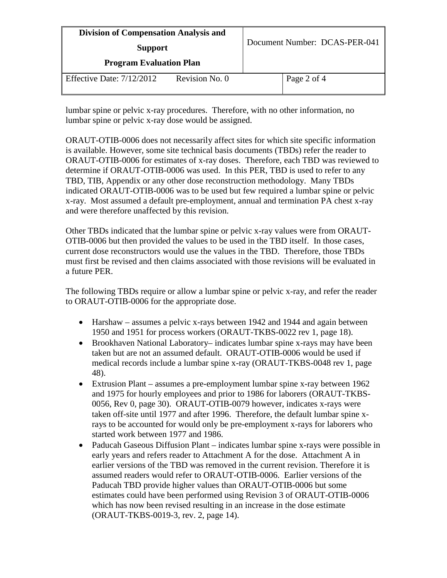| <b>Division of Compensation Analysis and</b><br><b>Support</b><br><b>Program Evaluation Plan</b> |  | Document Number: DCAS-PER-041 |  |
|--------------------------------------------------------------------------------------------------|--|-------------------------------|--|
|                                                                                                  |  |                               |  |

lumbar spine or pelvic x-ray procedures. Therefore, with no other information, no lumbar spine or pelvic x-ray dose would be assigned.

ORAUT-OTIB-0006 does not necessarily affect sites for which site specific information is available. However, some site technical basis documents (TBDs) refer the reader to ORAUT-OTIB-0006 for estimates of x-ray doses. Therefore, each TBD was reviewed to determine if ORAUT-OTIB-0006 was used. In this PER, TBD is used to refer to any TBD, TIB, Appendix or any other dose reconstruction methodology. Many TBDs indicated ORAUT-OTIB-0006 was to be used but few required a lumbar spine or pelvic x-ray. Most assumed a default pre-employment, annual and termination PA chest x-ray and were therefore unaffected by this revision.

Other TBDs indicated that the lumbar spine or pelvic x-ray values were from ORAUT-OTIB-0006 but then provided the values to be used in the TBD itself. In those cases, current dose reconstructors would use the values in the TBD. Therefore, those TBDs must first be revised and then claims associated with those revisions will be evaluated in a future PER.

The following TBDs require or allow a lumbar spine or pelvic x-ray, and refer the reader to ORAUT-OTIB-0006 for the appropriate dose.

- Harshaw assumes a pelvic x-rays between 1942 and 1944 and again between 1950 and 1951 for process workers (ORAUT-TKBS-0022 rev 1, page 18).
- Brookhaven National Laboratory– indicates lumbar spine x-rays may have been taken but are not an assumed default. ORAUT-OTIB-0006 would be used if medical records include a lumbar spine x-ray (ORAUT-TKBS-0048 rev 1, page 48).
- Extrusion Plant assumes a pre-employment lumbar spine x-ray between 1962 and 1975 for hourly employees and prior to 1986 for laborers (ORAUT-TKBS-0056, Rev 0, page 30). ORAUT-OTIB-0079 however, indicates x-rays were taken off-site until 1977 and after 1996. Therefore, the default lumbar spine xrays to be accounted for would only be pre-employment x-rays for laborers who started work between 1977 and 1986.
- Paducah Gaseous Diffusion Plant indicates lumbar spine x-rays were possible in early years and refers reader to Attachment A for the dose. Attachment A in earlier versions of the TBD was removed in the current revision. Therefore it is assumed readers would refer to ORAUT-OTIB-0006. Earlier versions of the Paducah TBD provide higher values than ORAUT-OTIB-0006 but some estimates could have been performed using Revision 3 of ORAUT-OTIB-0006 which has now been revised resulting in an increase in the dose estimate (ORAUT-TKBS-0019-3, rev. 2, page 14).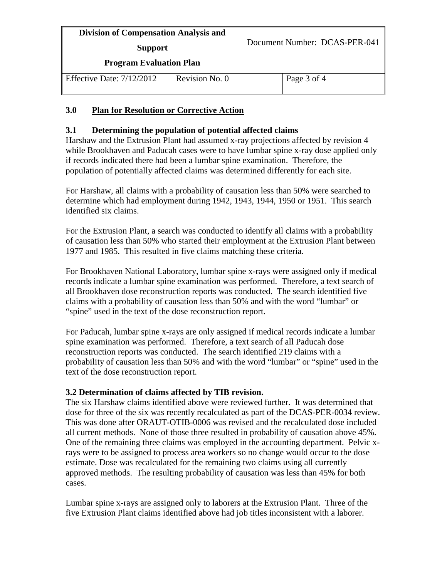| <b>Division of Compensation Analysis and</b><br><b>Support</b><br><b>Program Evaluation Plan</b> |                | Document Number: DCAS-PER-041 |             |
|--------------------------------------------------------------------------------------------------|----------------|-------------------------------|-------------|
| Effective Date: $7/12/2012$                                                                      | Revision No. 0 |                               | Page 3 of 4 |

# **3.0 Plan for Resolution or Corrective Action**

## **3.1 Determining the population of potential affected claims**

Harshaw and the Extrusion Plant had assumed x-ray projections affected by revision 4 while Brookhaven and Paducah cases were to have lumbar spine x-ray dose applied only if records indicated there had been a lumbar spine examination. Therefore, the population of potentially affected claims was determined differently for each site.

For Harshaw, all claims with a probability of causation less than 50% were searched to determine which had employment during 1942, 1943, 1944, 1950 or 1951. This search identified six claims.

For the Extrusion Plant, a search was conducted to identify all claims with a probability of causation less than 50% who started their employment at the Extrusion Plant between 1977 and 1985. This resulted in five claims matching these criteria.

For Brookhaven National Laboratory, lumbar spine x-rays were assigned only if medical records indicate a lumbar spine examination was performed. Therefore, a text search of all Brookhaven dose reconstruction reports was conducted. The search identified five claims with a probability of causation less than 50% and with the word "lumbar" or "spine" used in the text of the dose reconstruction report.

For Paducah, lumbar spine x-rays are only assigned if medical records indicate a lumbar spine examination was performed. Therefore, a text search of all Paducah dose reconstruction reports was conducted. The search identified 219 claims with a probability of causation less than 50% and with the word "lumbar" or "spine" used in the text of the dose reconstruction report.

### **3.2 Determination of claims affected by TIB revision.**

The six Harshaw claims identified above were reviewed further. It was determined that dose for three of the six was recently recalculated as part of the DCAS-PER-0034 review. This was done after ORAUT-OTIB-0006 was revised and the recalculated dose included all current methods. None of those three resulted in probability of causation above 45%. One of the remaining three claims was employed in the accounting department. Pelvic xrays were to be assigned to process area workers so no change would occur to the dose estimate. Dose was recalculated for the remaining two claims using all currently approved methods. The resulting probability of causation was less than 45% for both cases.

Lumbar spine x-rays are assigned only to laborers at the Extrusion Plant. Three of the five Extrusion Plant claims identified above had job titles inconsistent with a laborer.